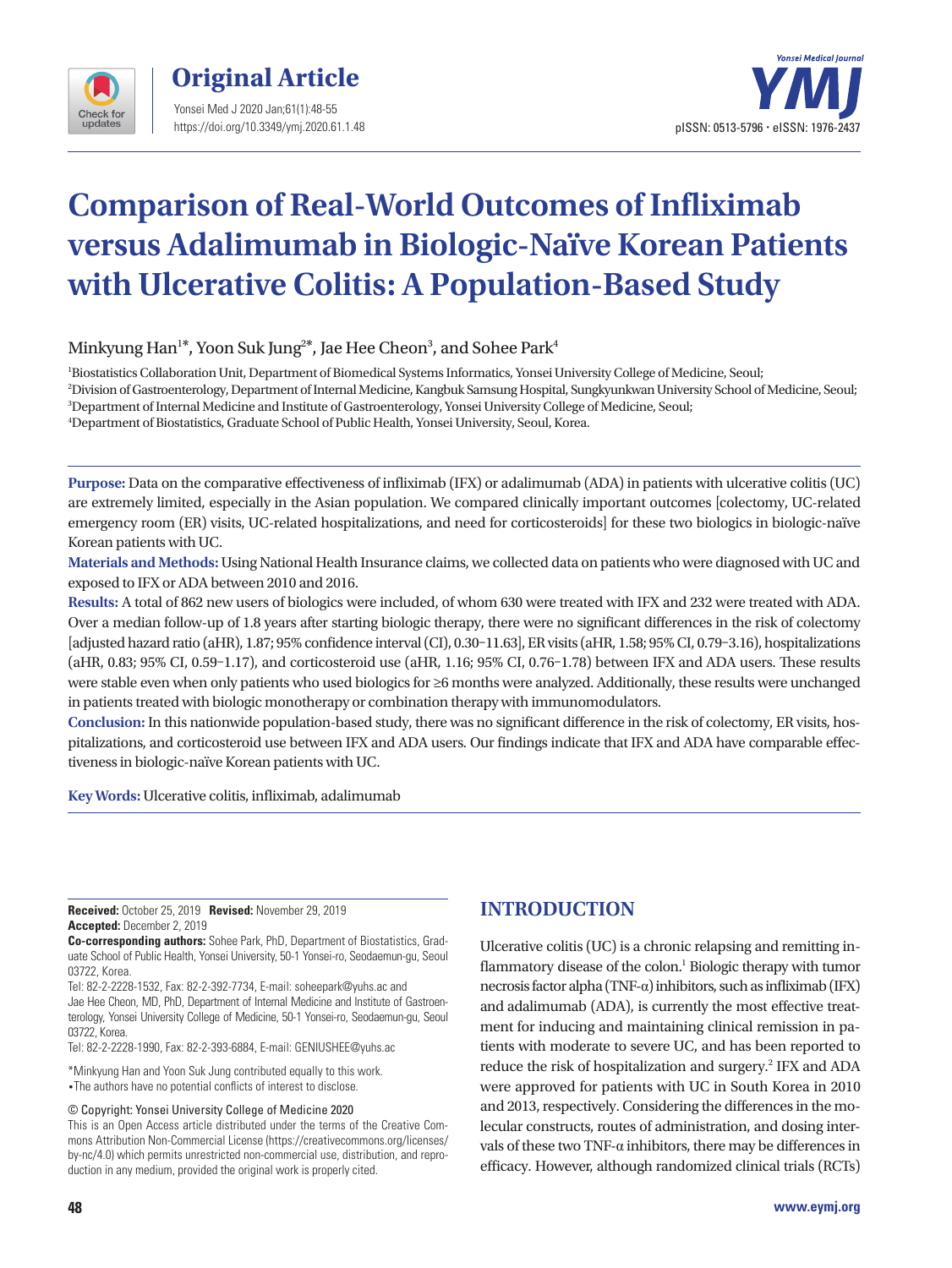



# **Comparison of Real-World Outcomes of Infliximab versus Adalimumab in Biologic-Naïve Korean Patients with Ulcerative Colitis: A Population-Based Study**

Minkyung Han<sup>1\*</sup>, Yoon Suk Jung<sup>2\*</sup>, Jae Hee Cheon<sup>3</sup>, and Sohee Park<sup>4</sup>

 Biostatistics Collaboration Unit, Department of Biomedical Systems Informatics, Yonsei University College of Medicine, Seoul; Division of Gastroenterology, Department of Internal Medicine, Kangbuk Samsung Hospital, Sungkyunkwan University School of Medicine, Seoul; Department of Internal Medicine and Institute of Gastroenterology, Yonsei University College of Medicine, Seoul; Department of Biostatistics, Graduate School of Public Health, Yonsei University, Seoul, Korea.

**Purpose:** Data on the comparative effectiveness of infliximab (IFX) or adalimumab (ADA) in patients with ulcerative colitis (UC) are extremely limited, especially in the Asian population. We compared clinically important outcomes [colectomy, UC-related emergency room (ER) visits, UC-related hospitalizations, and need for corticosteroids] for these two biologics in biologic-naïve Korean patients with UC.

**Materials and Methods:** Using National Health Insurance claims, we collected data on patients who were diagnosed with UC and exposed to IFX or ADA between 2010 and 2016.

**Results:** A total of 862 new users of biologics were included, of whom 630 were treated with IFX and 232 were treated with ADA. Over a median follow-up of 1.8 years after starting biologic therapy, there were no significant differences in the risk of colectomy [adjusted hazard ratio (aHR), 1.87; 95% confidence interval (CI), 0.30–11.63], ER visits (aHR, 1.58; 95% CI, 0.79–3.16), hospitalizations (aHR, 0.83; 95% CI, 0.59–1.17), and corticosteroid use (aHR, 1.16; 95% CI, 0.76–1.78) between IFX and ADA users. These results were stable even when only patients who used biologics for ≥6 months were analyzed. Additionally, these results were unchanged in patients treated with biologic monotherapy or combination therapy with immunomodulators.

**Conclusion:** In this nationwide population-based study, there was no significant difference in the risk of colectomy, ER visits, hospitalizations, and corticosteroid use between IFX and ADA users. Our findings indicate that IFX and ADA have comparable effectiveness in biologic-naïve Korean patients with UC.

**Key Words:** Ulcerative colitis, infliximab, adalimumab

**Received:** October 25, 2019 **Revised:** November 29, 2019 **Accepted:** December 2, 2019

**Co-corresponding authors:** Sohee Park, PhD, Department of Biostatistics, Graduate School of Public Health, Yonsei University, 50-1 Yonsei-ro, Seodaemun-gu, Seoul 03722, Korea.

Tel: 82-2-2228-1532, Fax: 82-2-392-7734, E-mail: soheepark@yuhs.ac and Jae Hee Cheon, MD, PhD, Department of Internal Medicine and Institute of Gastroenterology, Yonsei University College of Medicine, 50-1 Yonsei-ro, Seodaemun-gu, Seoul 03722, Korea.

Tel: 82-2-2228-1990, Fax: 82-2-393-6884, E-mail: GENIUSHEE@yuhs.ac

\*Minkyung Han and Yoon Suk Jung contributed equally to this work. •The authors have no potential conflicts of interest to disclose.

© Copyright: Yonsei University College of Medicine 2020

# **INTRODUCTION**

Ulcerative colitis (UC) is a chronic relapsing and remitting inflammatory disease of the colon.<sup>1</sup> Biologic therapy with tumor necrosis factor alpha (TNF-α) inhibitors, such as infliximab (IFX) and adalimumab (ADA), is currently the most effective treatment for inducing and maintaining clinical remission in patients with moderate to severe UC, and has been reported to reduce the risk of hospitalization and surgery.<sup>2</sup> IFX and ADA were approved for patients with UC in South Korea in 2010 and 2013, respectively. Considering the differences in the molecular constructs, routes of administration, and dosing intervals of these two TNF-α inhibitors, there may be differences in efficacy. However, although randomized clinical trials (RCTs)

This is an Open Access article distributed under the terms of the Creative Commons Attribution Non-Commercial License (https://creativecommons.org/licenses/ by-nc/4.0) which permits unrestricted non-commercial use, distribution, and reproduction in any medium, provided the original work is properly cited.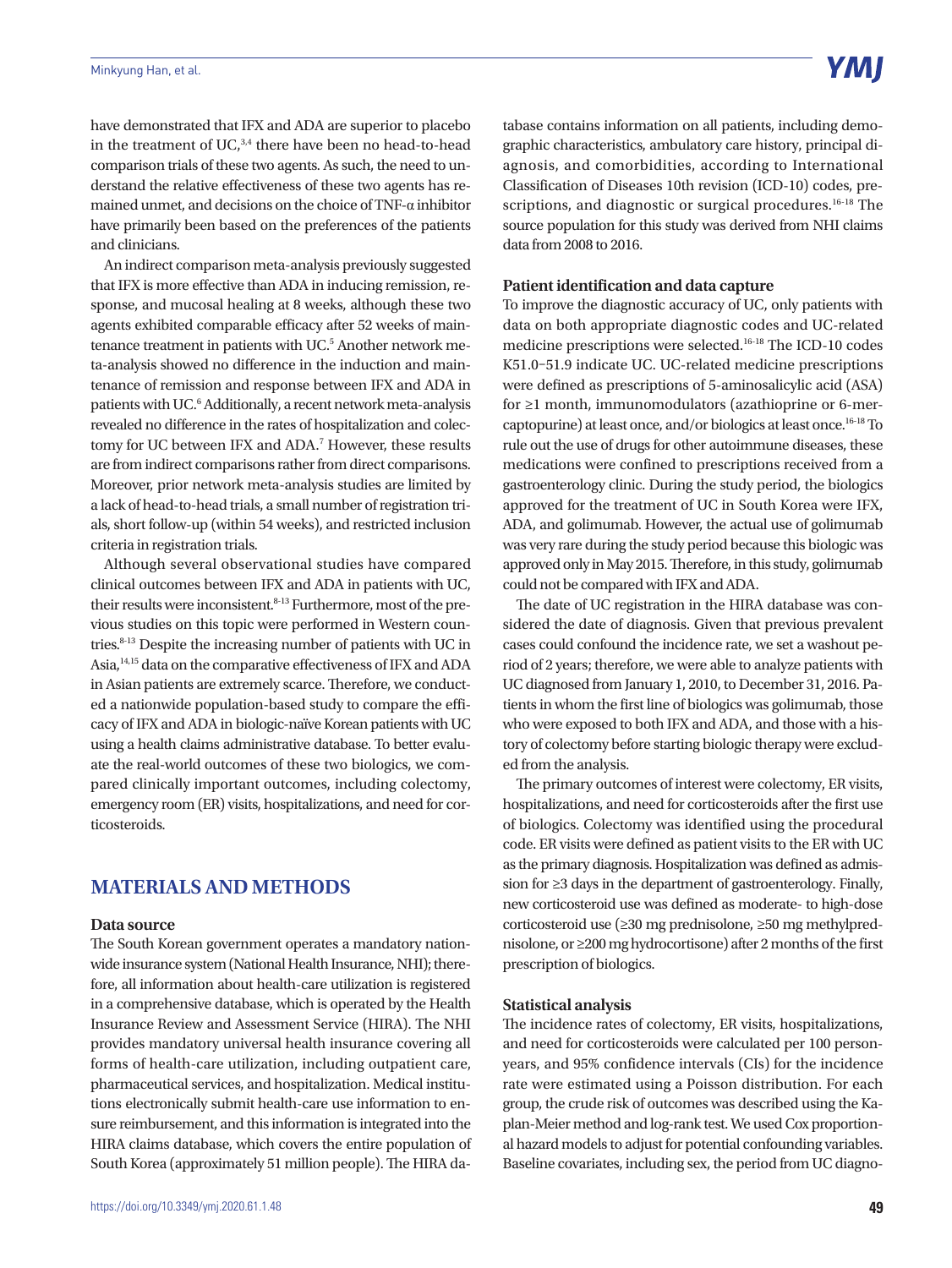have demonstrated that IFX and ADA are superior to placebo in the treatment of UC, $3,4$  there have been no head-to-head comparison trials of these two agents. As such, the need to understand the relative effectiveness of these two agents has remained unmet, and decisions on the choice of TNF-α inhibitor have primarily been based on the preferences of the patients and clinicians.

An indirect comparison meta-analysis previously suggested that IFX is more effective than ADA in inducing remission, response, and mucosal healing at 8 weeks, although these two agents exhibited comparable efficacy after 52 weeks of maintenance treatment in patients with UC.<sup>5</sup> Another network meta-analysis showed no difference in the induction and maintenance of remission and response between IFX and ADA in patients with UC.<sup>6</sup> Additionally, a recent network meta-analysis revealed no difference in the rates of hospitalization and colectomy for UC between IFX and ADA.<sup>7</sup> However, these results are from indirect comparisons rather from direct comparisons. Moreover, prior network meta-analysis studies are limited by a lack of head-to-head trials, a small number of registration trials, short follow-up (within 54 weeks), and restricted inclusion criteria in registration trials.

Although several observational studies have compared clinical outcomes between IFX and ADA in patients with UC, their results were inconsistent.<sup>8-13</sup> Furthermore, most of the previous studies on this topic were performed in Western countries.8-13 Despite the increasing number of patients with UC in Asia,14,15 data on the comparative effectiveness of IFX and ADA in Asian patients are extremely scarce. Therefore, we conducted a nationwide population-based study to compare the efficacy of IFX and ADA in biologic-naïve Korean patients with UC using a health claims administrative database. To better evaluate the real-world outcomes of these two biologics, we compared clinically important outcomes, including colectomy, emergency room (ER) visits, hospitalizations, and need for corticosteroids.

## **MATERIALS AND METHODS**

## **Data source**

The South Korean government operates a mandatory nationwide insurance system (National Health Insurance, NHI); therefore, all information about health-care utilization is registered in a comprehensive database, which is operated by the Health Insurance Review and Assessment Service (HIRA). The NHI provides mandatory universal health insurance covering all forms of health-care utilization, including outpatient care, pharmaceutical services, and hospitalization. Medical institutions electronically submit health-care use information to ensure reimbursement, and this information is integrated into the HIRA claims database, which covers the entire population of South Korea (approximately 51 million people). The HIRA database contains information on all patients, including demographic characteristics, ambulatory care history, principal diagnosis, and comorbidities, according to International Classification of Diseases 10th revision (ICD-10) codes, prescriptions, and diagnostic or surgical procedures.<sup>16-18</sup> The source population for this study was derived from NHI claims data from 2008 to 2016.

#### **Patient identification and data capture**

To improve the diagnostic accuracy of UC, only patients with data on both appropriate diagnostic codes and UC-related medicine prescriptions were selected.16-18 The ICD-10 codes K51.0–51.9 indicate UC. UC-related medicine prescriptions were defined as prescriptions of 5-aminosalicylic acid (ASA) for ≥1 month, immunomodulators (azathioprine or 6-mercaptopurine) at least once, and/or biologics at least once.16-18 To rule out the use of drugs for other autoimmune diseases, these medications were confined to prescriptions received from a gastroenterology clinic. During the study period, the biologics approved for the treatment of UC in South Korea were IFX, ADA, and golimumab. However, the actual use of golimumab was very rare during the study period because this biologic was approved only in May 2015. Therefore, in this study, golimumab could not be compared with IFX and ADA.

The date of UC registration in the HIRA database was considered the date of diagnosis. Given that previous prevalent cases could confound the incidence rate, we set a washout period of 2 years; therefore, we were able to analyze patients with UC diagnosed from January 1, 2010, to December 31, 2016. Patients in whom the first line of biologics was golimumab, those who were exposed to both IFX and ADA, and those with a history of colectomy before starting biologic therapy were excluded from the analysis.

The primary outcomes of interest were colectomy, ER visits, hospitalizations, and need for corticosteroids after the first use of biologics. Colectomy was identified using the procedural code. ER visits were defined as patient visits to the ER with UC as the primary diagnosis. Hospitalization was defined as admission for ≥3 days in the department of gastroenterology. Finally, new corticosteroid use was defined as moderate- to high-dose corticosteroid use (≥30 mg prednisolone, ≥50 mg methylprednisolone, or ≥200 mg hydrocortisone) after 2 months of the first prescription of biologics.

#### **Statistical analysis**

The incidence rates of colectomy, ER visits, hospitalizations, and need for corticosteroids were calculated per 100 personyears, and 95% confidence intervals (CIs) for the incidence rate were estimated using a Poisson distribution. For each group, the crude risk of outcomes was described using the Kaplan-Meier method and log-rank test. We used Cox proportional hazard models to adjust for potential confounding variables. Baseline covariates, including sex, the period from UC diagno-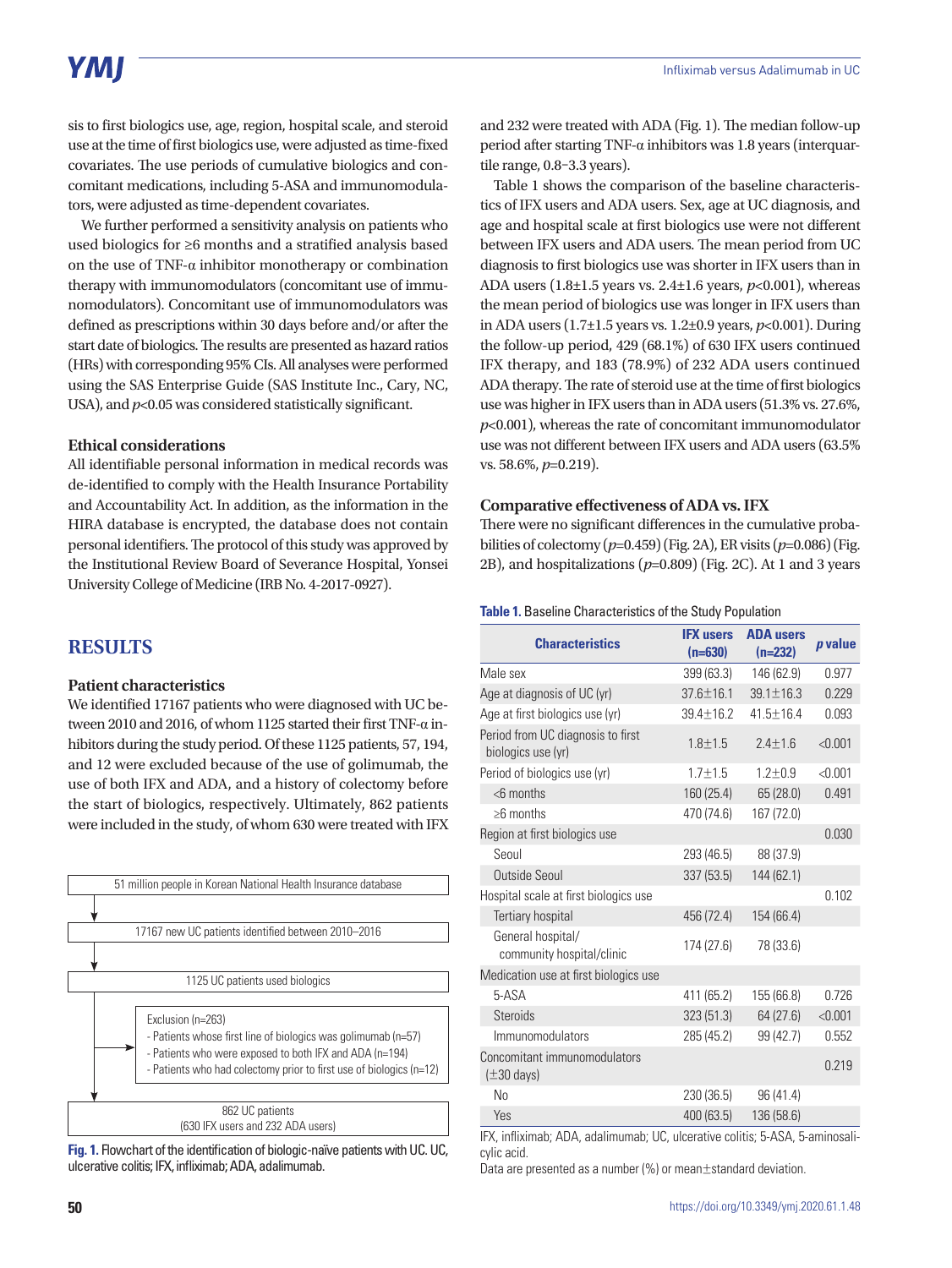# **YMI**

sis to first biologics use, age, region, hospital scale, and steroid use at the time of first biologics use, were adjusted as time-fixed covariates. The use periods of cumulative biologics and concomitant medications, including 5-ASA and immunomodulators, were adjusted as time-dependent covariates.

We further performed a sensitivity analysis on patients who used biologics for ≥6 months and a stratified analysis based on the use of TNF- $\alpha$  inhibitor monotherapy or combination therapy with immunomodulators (concomitant use of immunomodulators). Concomitant use of immunomodulators was defined as prescriptions within 30 days before and/or after the start date of biologics. The results are presented as hazard ratios (HRs) with corresponding 95% CIs. All analyses were performed using the SAS Enterprise Guide (SAS Institute Inc., Cary, NC, USA), and  $p<0.05$  was considered statistically significant.

#### **Ethical considerations**

All identifiable personal information in medical records was de-identified to comply with the Health Insurance Portability and Accountability Act. In addition, as the information in the HIRA database is encrypted, the database does not contain personal identifiers. The protocol of this study was approved by the Institutional Review Board of Severance Hospital, Yonsei University College of Medicine (IRB No. 4-2017-0927).

## **RESULTS**

## **Patient characteristics**

We identified 17167 patients who were diagnosed with UC between 2010 and 2016, of whom 1125 started their first TNF-α inhibitors during the study period. Of these 1125 patients, 57, 194, and 12 were excluded because of the use of golimumab, the use of both IFX and ADA, and a history of colectomy before the start of biologics, respectively. Ultimately, 862 patients were included in the study, of whom 630 were treated with IFX



**Fig. 1.** Flowchart of the identification of biologic-naïve patients with UC. UC, ulcerative colitis; IFX, infliximab; ADA, adalimumab.

and 232 were treated with ADA (Fig. 1). The median follow-up period after starting TNF-α inhibitors was 1.8 years (interquartile range, 0.8–3.3 years).

Table 1 shows the comparison of the baseline characteristics of IFX users and ADA users. Sex, age at UC diagnosis, and age and hospital scale at first biologics use were not different between IFX users and ADA users. The mean period from UC diagnosis to first biologics use was shorter in IFX users than in ADA users (1.8±1.5 years vs. 2.4±1.6 years, *p*<0.001), whereas the mean period of biologics use was longer in IFX users than in ADA users (1.7±1.5 years vs. 1.2±0.9 years, *p*<0.001). During the follow-up period, 429 (68.1%) of 630 IFX users continued IFX therapy, and 183 (78.9%) of 232 ADA users continued ADA therapy. The rate of steroid use at the time of first biologics use was higher in IFX users than in ADA users (51.3% vs. 27.6%, *p*<0.001), whereas the rate of concomitant immunomodulator use was not different between IFX users and ADA users (63.5% vs. 58.6%, *p*=0.219).

### **Comparative effectiveness of ADA vs. IFX**

There were no significant differences in the cumulative probabilities of colectomy (*p*=0.459) (Fig. 2A), ER visits (*p*=0.086) (Fig. 2B), and hospitalizations (*p*=0.809) (Fig. 2C). At 1 and 3 years

#### **Table 1.** Baseline Characteristics of the Study Population

| <b>Characteristics</b>                                  | <b>IFX users</b><br>$(n=630)$ | <b>ADA users</b><br>$(n=232)$ | p value |
|---------------------------------------------------------|-------------------------------|-------------------------------|---------|
| Male sex                                                | 399 (63.3)                    | 146 (62.9)                    | 0.977   |
| Age at diagnosis of UC (yr)                             | $37.6 \pm 16.1$               | $39.1 \pm 16.3$               | 0.229   |
| Age at first biologics use (yr)                         | 39.4±16.2                     | 41.5±16.4                     | 0.093   |
| Period from UC diagnosis to first<br>biologics use (yr) | $1.8 + 1.5$                   | $2.4 \pm 1.6$                 | < 0.001 |
| Period of biologics use (yr)                            | $1.7 + 1.5$                   | $1.2 + 0.9$                   | < 0.001 |
| $<$ 6 months                                            | 160 (25.4)                    | 65 (28.0)                     | 0.491   |
| $\geq$ 6 months                                         | 470 (74.6)                    | 167 (72.0)                    |         |
| Region at first biologics use                           |                               |                               | 0.030   |
| Seoul                                                   | 293 (46.5)                    | 88 (37.9)                     |         |
| Outside Seoul                                           | 337(53.5)                     | 144 (62.1)                    |         |
| Hospital scale at first biologics use                   |                               |                               | 0.102   |
| <b>Tertiary hospital</b>                                | 456 (72.4)                    | 154 (66.4)                    |         |
| General hospital/<br>community hospital/clinic          | 174 (27.6)                    | 78 (33.6)                     |         |
| Medication use at first biologics use                   |                               |                               |         |
| 5-ASA                                                   | 411 (65.2)                    | 155 (66.8)                    | 0.726   |
| <b>Steroids</b>                                         | 323(51.3)                     | 64 (27.6)                     | < 0.001 |
| Immunomodulators                                        | 285 (45.2)                    | 99 (42.7)                     | 0.552   |
| Concomitant immunomodulators<br>$(\pm 30 \text{ days})$ |                               |                               | 0.219   |
| No                                                      | 230 (36.5)                    | 96 (41.4)                     |         |
| Yes                                                     | 400 (63.5)                    | 136 (58.6)                    |         |

IFX, infliximab; ADA, adalimumab; UC, ulcerative colitis; 5-ASA, 5-aminosalicylic acid.

Data are presented as a number (%) or mean±standard deviation.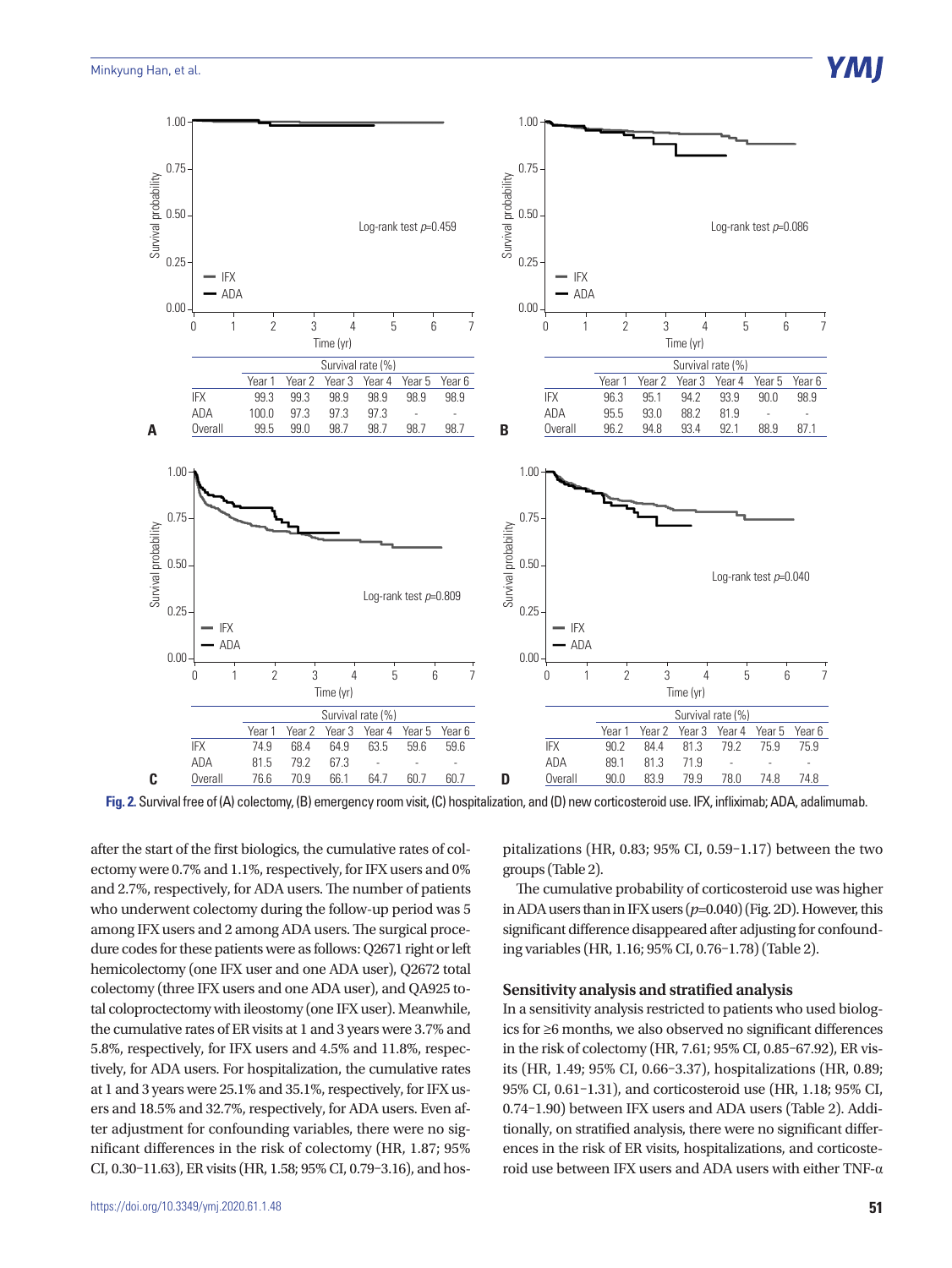

**Fig. 2.** Survival free of (A) colectomy, (B) emergency room visit, (C) hospitalization, and (D) new corticosteroid use. IFX, infliximab; ADA, adalimumab.

after the start of the first biologics, the cumulative rates of colectomy were 0.7% and 1.1%, respectively, for IFX users and 0% and 2.7%, respectively, for ADA users. The number of patients who underwent colectomy during the follow-up period was 5 among IFX users and 2 among ADA users. The surgical procedure codes for these patients were as follows: Q2671 right or left hemicolectomy (one IFX user and one ADA user), Q2672 total colectomy (three IFX users and one ADA user), and QA925 total coloproctectomy with ileostomy (one IFX user). Meanwhile, the cumulative rates of ER visits at 1 and 3 years were 3.7% and 5.8%, respectively, for IFX users and 4.5% and 11.8%, respectively, for ADA users. For hospitalization, the cumulative rates at 1 and 3 years were 25.1% and 35.1%, respectively, for IFX users and 18.5% and 32.7%, respectively, for ADA users. Even after adjustment for confounding variables, there were no significant differences in the risk of colectomy (HR, 1.87; 95% CI, 0.30–11.63), ER visits (HR, 1.58; 95% CI, 0.79–3.16), and hospitalizations (HR, 0.83; 95% CI, 0.59–1.17) between the two groups (Table 2).

The cumulative probability of corticosteroid use was higher in ADA users than in IFX users (*p*=0.040) (Fig. 2D). However, this significant difference disappeared after adjusting for confounding variables (HR, 1.16; 95% CI, 0.76–1.78) (Table 2).

### **Sensitivity analysis and stratified analysis**

In a sensitivity analysis restricted to patients who used biologics for ≥6 months, we also observed no significant differences in the risk of colectomy (HR, 7.61; 95% CI, 0.85–67.92), ER visits (HR, 1.49; 95% CI, 0.66–3.37), hospitalizations (HR, 0.89; 95% CI, 0.61–1.31), and corticosteroid use (HR, 1.18; 95% CI, 0.74–1.90) between IFX users and ADA users (Table 2). Additionally, on stratified analysis, there were no significant differences in the risk of ER visits, hospitalizations, and corticosteroid use between IFX users and ADA users with either TNF-α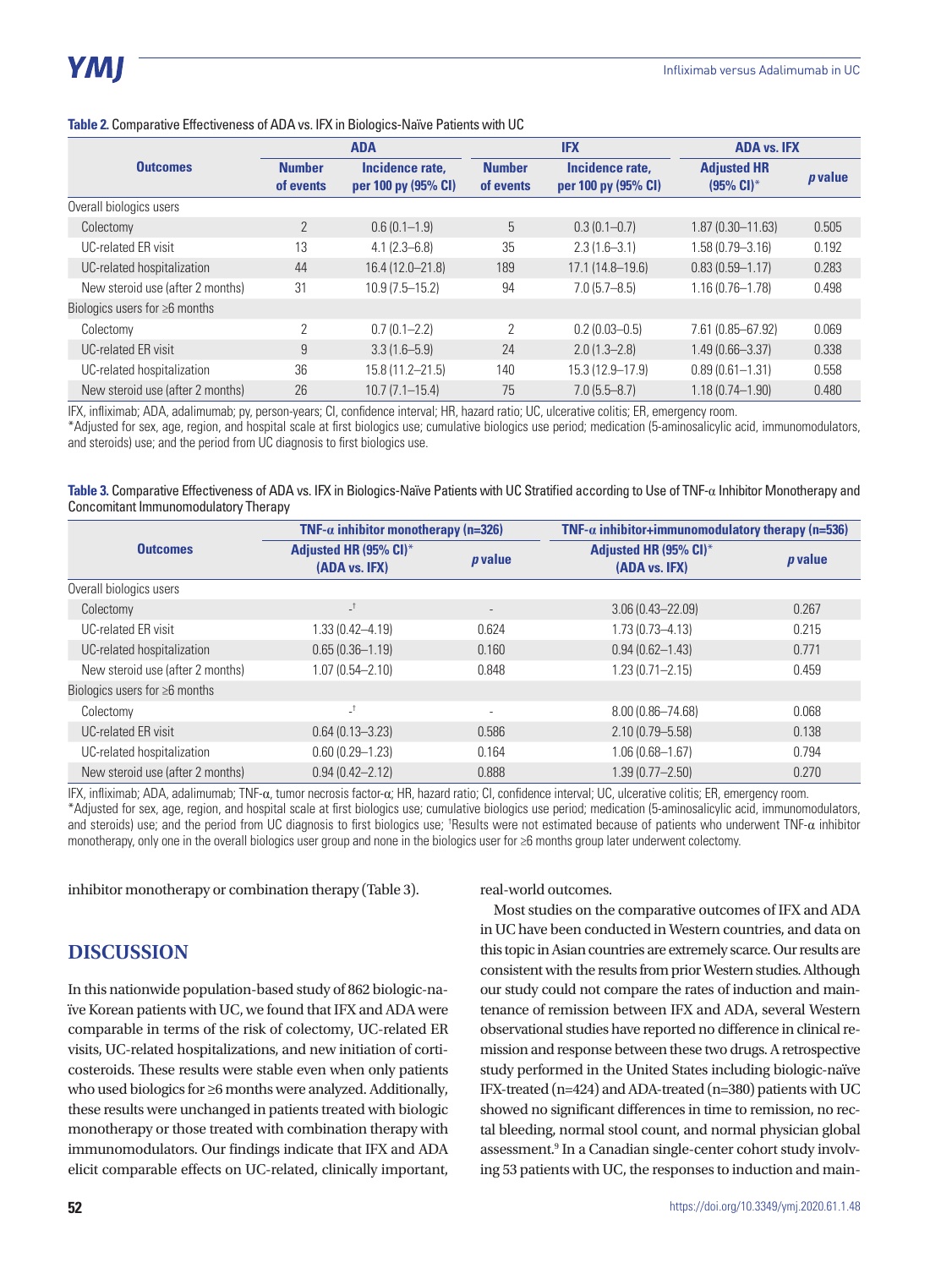| <b>ADA</b>                          |                            | <b>IFX</b>                             |                            | <b>ADA vs. IFX</b>                     |                                    |                |
|-------------------------------------|----------------------------|----------------------------------------|----------------------------|----------------------------------------|------------------------------------|----------------|
| <b>Outcomes</b>                     | <b>Number</b><br>of events | Incidence rate,<br>per 100 py (95% CI) | <b>Number</b><br>of events | Incidence rate.<br>per 100 py (95% CI) | <b>Adjusted HR</b><br>$(95% Cl)^*$ | <i>p</i> value |
| Overall biologics users             |                            |                                        |                            |                                        |                                    |                |
| Colectomy                           | $\overline{2}$             | $0.6(0.1-1.9)$                         | 5                          | $0.3(0.1 - 0.7)$                       | $1.87(0.30 - 11.63)$               | 0.505          |
| <b>UC-related ER visit</b>          | 13                         | $4.1(2.3 - 6.8)$                       | 35                         | $2.3(1.6-3.1)$                         | 1.58 (0.79 - 3.16)                 | 0.192          |
| UC-related hospitalization          | 44                         | 16.4 (12.0-21.8)                       | 189                        | $17.1(14.8 - 19.6)$                    | $0.83(0.59 - 1.17)$                | 0.283          |
| New steroid use (after 2 months)    | 31                         | $10.9(7.5 - 15.2)$                     | 94                         | $7.0(5.7 - 8.5)$                       | $1.16(0.76 - 1.78)$                | 0.498          |
| Biologics users for $\geq 6$ months |                            |                                        |                            |                                        |                                    |                |
| Colectomy                           | $\overline{2}$             | $0.7(0.1 - 2.2)$                       | 2                          | $0.2(0.03 - 0.5)$                      | 7.61 (0.85-67.92)                  | 0.069          |
| <b>UC-related ER visit</b>          | 9                          | $3.3(1.6 - 5.9)$                       | 24                         | $2.0(1.3 - 2.8)$                       | $1.49(0.66 - 3.37)$                | 0.338          |
| UC-related hospitalization          | 36                         | 15.8 (11.2-21.5)                       | 140                        | 15.3 (12.9-17.9)                       | $0.89(0.61 - 1.31)$                | 0.558          |
| New steroid use (after 2 months)    | 26                         | $10.7(7.1 - 15.4)$                     | 75                         | $7.0(5.5 - 8.7)$                       | $1.18(0.74 - 1.90)$                | 0.480          |

#### **Table 2.** Comparative Effectiveness of ADA vs. IFX in Biologics-Naïve Patients with UC

IFX, infliximab; ADA, adalimumab; py, person-years; CI, confidence interval; HR, hazard ratio; UC, ulcerative colitis; ER, emergency room.

\*Adjusted for sex, age, region, and hospital scale at first biologics use; cumulative biologics use period; medication (5-aminosalicylic acid, immunomodulators, and steroids) use; and the period from UC diagnosis to first biologics use.

**Table 3.** Comparative Effectiveness of ADA vs. IFX in Biologics-Naïve Patients with UC Stratified according to Use of TNF-α Inhibitor Monotherapy and Concomitant Immunomodulatory Therapy

|                                     | TNF- $\alpha$ inhibitor monotherapy (n=326) |         | TNF- $\alpha$ inhibitor+immunomodulatory therapy (n=536) |         |
|-------------------------------------|---------------------------------------------|---------|----------------------------------------------------------|---------|
| <b>Outcomes</b>                     | Adjusted HR (95% CI)*<br>(ADA vs. IFX)      | p value | Adjusted HR (95% CI)*<br>(ADA vs. IFX)                   | p value |
| Overall biologics users             |                                             |         |                                                          |         |
| Colectomy                           | $\mathsf{I}^+$                              |         | $3.06(0.43 - 22.09)$                                     | 0.267   |
| UC-related ER visit                 | $1.33(0.42 - 4.19)$                         | 0.624   | $1.73(0.73 - 4.13)$                                      | 0.215   |
| UC-related hospitalization          | $0.65(0.36 - 1.19)$                         | 0.160   | $0.94(0.62 - 1.43)$                                      | 0.771   |
| New steroid use (after 2 months)    | $1.07(0.54 - 2.10)$                         | 0.848   | $1.23(0.71 - 2.15)$                                      | 0.459   |
| Biologics users for $\geq 6$ months |                                             |         |                                                          |         |
| Colectomy                           | $\mathsf{L}$                                |         | 8.00 (0.86-74.68)                                        | 0.068   |
| <b>UC-related ER visit</b>          | $0.64(0.13 - 3.23)$                         | 0.586   | $2.10(0.79 - 5.58)$                                      | 0.138   |
| UC-related hospitalization          | $0.60(0.29 - 1.23)$                         | 0.164   | $1.06(0.68 - 1.67)$                                      | 0.794   |
| New steroid use (after 2 months)    | $0.94(0.42 - 2.12)$                         | 0.888   | $1.39(0.77 - 2.50)$                                      | 0.270   |

IFX, infliximab; ADA, adalimumab; TNF-α, tumor necrosis factor-α; HR, hazard ratio; CI, confidence interval; UC, ulcerative colitis; ER, emergency room. \*Adjusted for sex, age, region, and hospital scale at first biologics use; cumulative biologics use period; medication (5-aminosalicylic acid, immunomodulators, and steroids) use; and the period from UC diagnosis to first biologics use; 'Results were not estimated because of patients who underwent TNF- $\alpha$  inhibitor monotherapy, only one in the overall biologics user group and none in the biologics user for ≥6 months group later underwent colectomy.

inhibitor monotherapy or combination therapy (Table 3).

## **DISCUSSION**

In this nationwide population-based study of 862 biologic-naïve Korean patients with UC, we found that IFX and ADA were comparable in terms of the risk of colectomy, UC-related ER visits, UC-related hospitalizations, and new initiation of corticosteroids. These results were stable even when only patients who used biologics for ≥6 months were analyzed. Additionally, these results were unchanged in patients treated with biologic monotherapy or those treated with combination therapy with immunomodulators. Our findings indicate that IFX and ADA elicit comparable effects on UC-related, clinically important,

real-world outcomes.

Most studies on the comparative outcomes of IFX and ADA in UC have been conducted in Western countries, and data on this topic in Asian countries are extremely scarce. Our results are consistent with the results from prior Western studies. Although our study could not compare the rates of induction and maintenance of remission between IFX and ADA, several Western observational studies have reported no difference in clinical remission and response between these two drugs. A retrospective study performed in the United States including biologic-naïve IFX-treated (n=424) and ADA-treated (n=380) patients with UC showed no significant differences in time to remission, no rectal bleeding, normal stool count, and normal physician global assessment.<sup>9</sup> In a Canadian single-center cohort study involving 53 patients with UC, the responses to induction and main-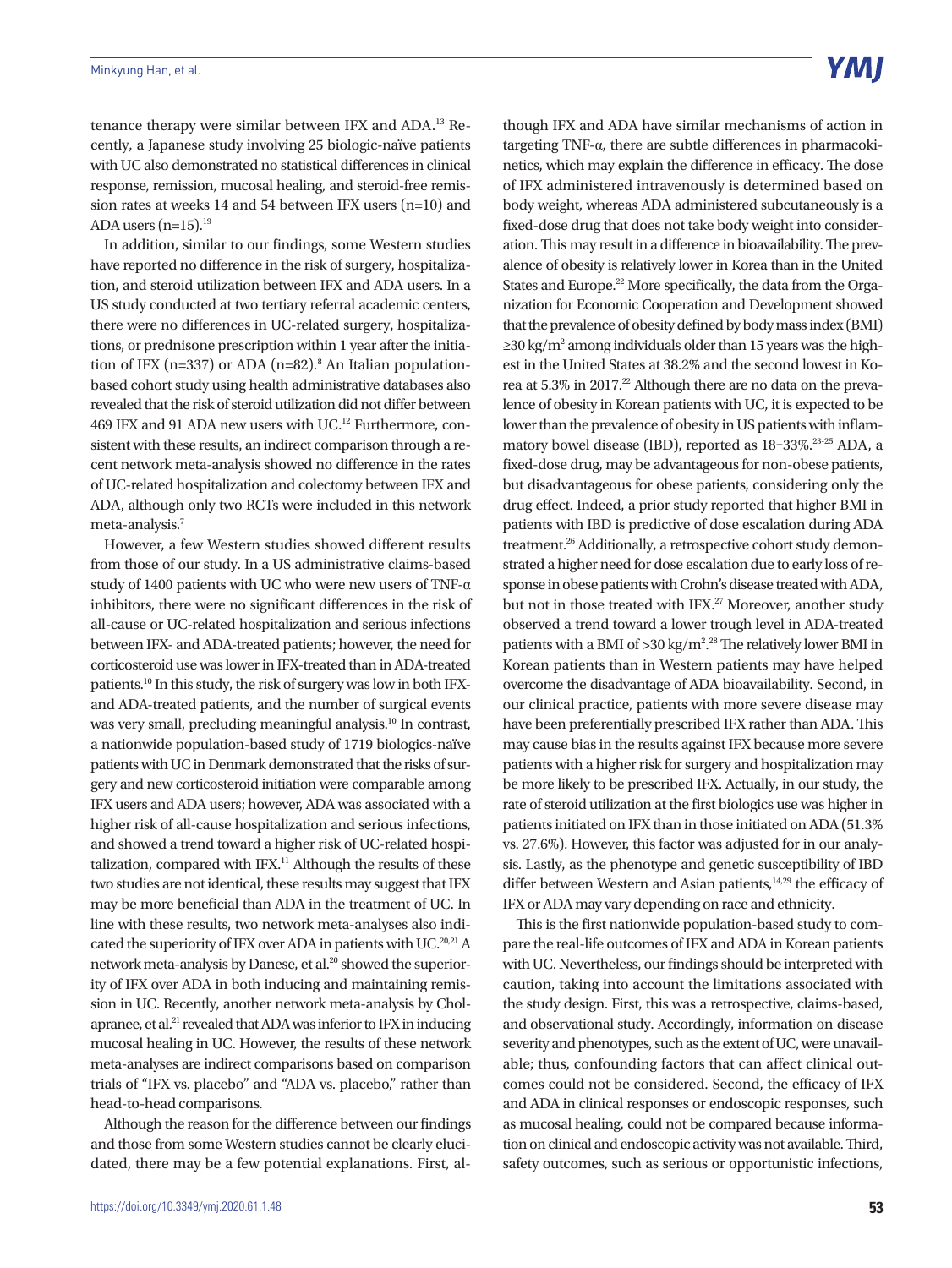tenance therapy were similar between IFX and ADA.<sup>13</sup> Recently, a Japanese study involving 25 biologic-naïve patients with UC also demonstrated no statistical differences in clinical response, remission, mucosal healing, and steroid-free remission rates at weeks 14 and 54 between IFX users (n=10) and ADA users  $(n=15)$ .<sup>19</sup>

In addition, similar to our findings, some Western studies have reported no difference in the risk of surgery, hospitalization, and steroid utilization between IFX and ADA users. In a US study conducted at two tertiary referral academic centers, there were no differences in UC-related surgery, hospitalizations, or prednisone prescription within 1 year after the initiation of IFX ( $n=337$ ) or ADA ( $n=82$ ).<sup>8</sup> An Italian populationbased cohort study using health administrative databases also revealed that the risk of steroid utilization did not differ between 469 IFX and 91 ADA new users with UC.<sup>12</sup> Furthermore, consistent with these results, an indirect comparison through a recent network meta-analysis showed no difference in the rates of UC-related hospitalization and colectomy between IFX and ADA, although only two RCTs were included in this network meta-analysis.7

However, a few Western studies showed different results from those of our study. In a US administrative claims-based study of 1400 patients with UC who were new users of TNF-α inhibitors, there were no significant differences in the risk of all-cause or UC-related hospitalization and serious infections between IFX- and ADA-treated patients; however, the need for corticosteroid use was lower in IFX-treated than in ADA-treated patients.10 In this study, the risk of surgery was low in both IFXand ADA-treated patients, and the number of surgical events was very small, precluding meaningful analysis.<sup>10</sup> In contrast, a nationwide population-based study of 1719 biologics-naïve patients with UC in Denmark demonstrated that the risks of surgery and new corticosteroid initiation were comparable among IFX users and ADA users; however, ADA was associated with a higher risk of all-cause hospitalization and serious infections, and showed a trend toward a higher risk of UC-related hospitalization, compared with IFX.<sup>11</sup> Although the results of these two studies are not identical, these results may suggest that IFX may be more beneficial than ADA in the treatment of UC. In line with these results, two network meta-analyses also indicated the superiority of IFX over ADA in patients with UC.<sup>20,21</sup> A network meta-analysis by Danese, et al.<sup>20</sup> showed the superiority of IFX over ADA in both inducing and maintaining remission in UC. Recently, another network meta-analysis by Cholapranee, et al.21 revealed that ADA was inferior to IFX in inducing mucosal healing in UC. However, the results of these network meta-analyses are indirect comparisons based on comparison trials of "IFX vs. placebo" and "ADA vs. placebo," rather than head-to-head comparisons.

Although the reason for the difference between our findings and those from some Western studies cannot be clearly elucidated, there may be a few potential explanations. First, although IFX and ADA have similar mechanisms of action in targeting TNF-α, there are subtle differences in pharmacokinetics, which may explain the difference in efficacy. The dose of IFX administered intravenously is determined based on body weight, whereas ADA administered subcutaneously is a fixed-dose drug that does not take body weight into consideration. This may result in a difference in bioavailability. The prevalence of obesity is relatively lower in Korea than in the United States and Europe.<sup>22</sup> More specifically, the data from the Organization for Economic Cooperation and Development showed that the prevalence of obesity defined by body mass index (BMI) ≥30 kg/m<sup>2</sup> among individuals older than 15 years was the highest in the United States at 38.2% and the second lowest in Korea at 5.3% in 2017.<sup>22</sup> Although there are no data on the prevalence of obesity in Korean patients with UC, it is expected to be lower than the prevalence of obesity in US patients with inflammatory bowel disease (IBD), reported as 18–33%.23-25 ADA, a fixed-dose drug, may be advantageous for non-obese patients, but disadvantageous for obese patients, considering only the drug effect. Indeed, a prior study reported that higher BMI in patients with IBD is predictive of dose escalation during ADA treatment.26 Additionally, a retrospective cohort study demonstrated a higher need for dose escalation due to early loss of response in obese patients with Crohn's disease treated with ADA, but not in those treated with IFX.<sup>27</sup> Moreover, another study observed a trend toward a lower trough level in ADA-treated patients with a BMI of  $>$ 30 kg/m<sup>2</sup>.<sup>28</sup> The relatively lower BMI in Korean patients than in Western patients may have helped overcome the disadvantage of ADA bioavailability. Second, in our clinical practice, patients with more severe disease may have been preferentially prescribed IFX rather than ADA. This may cause bias in the results against IFX because more severe patients with a higher risk for surgery and hospitalization may be more likely to be prescribed IFX. Actually, in our study, the rate of steroid utilization at the first biologics use was higher in patients initiated on IFX than in those initiated on ADA (51.3% vs. 27.6%). However, this factor was adjusted for in our analysis. Lastly, as the phenotype and genetic susceptibility of IBD differ between Western and Asian patients, $14,29$  the efficacy of IFX or ADA may vary depending on race and ethnicity.

This is the first nationwide population-based study to compare the real-life outcomes of IFX and ADA in Korean patients with UC. Nevertheless, our findings should be interpreted with caution, taking into account the limitations associated with the study design. First, this was a retrospective, claims-based, and observational study. Accordingly, information on disease severity and phenotypes, such as the extent of UC, were unavailable; thus, confounding factors that can affect clinical outcomes could not be considered. Second, the efficacy of IFX and ADA in clinical responses or endoscopic responses, such as mucosal healing, could not be compared because information on clinical and endoscopic activity was not available. Third, safety outcomes, such as serious or opportunistic infections,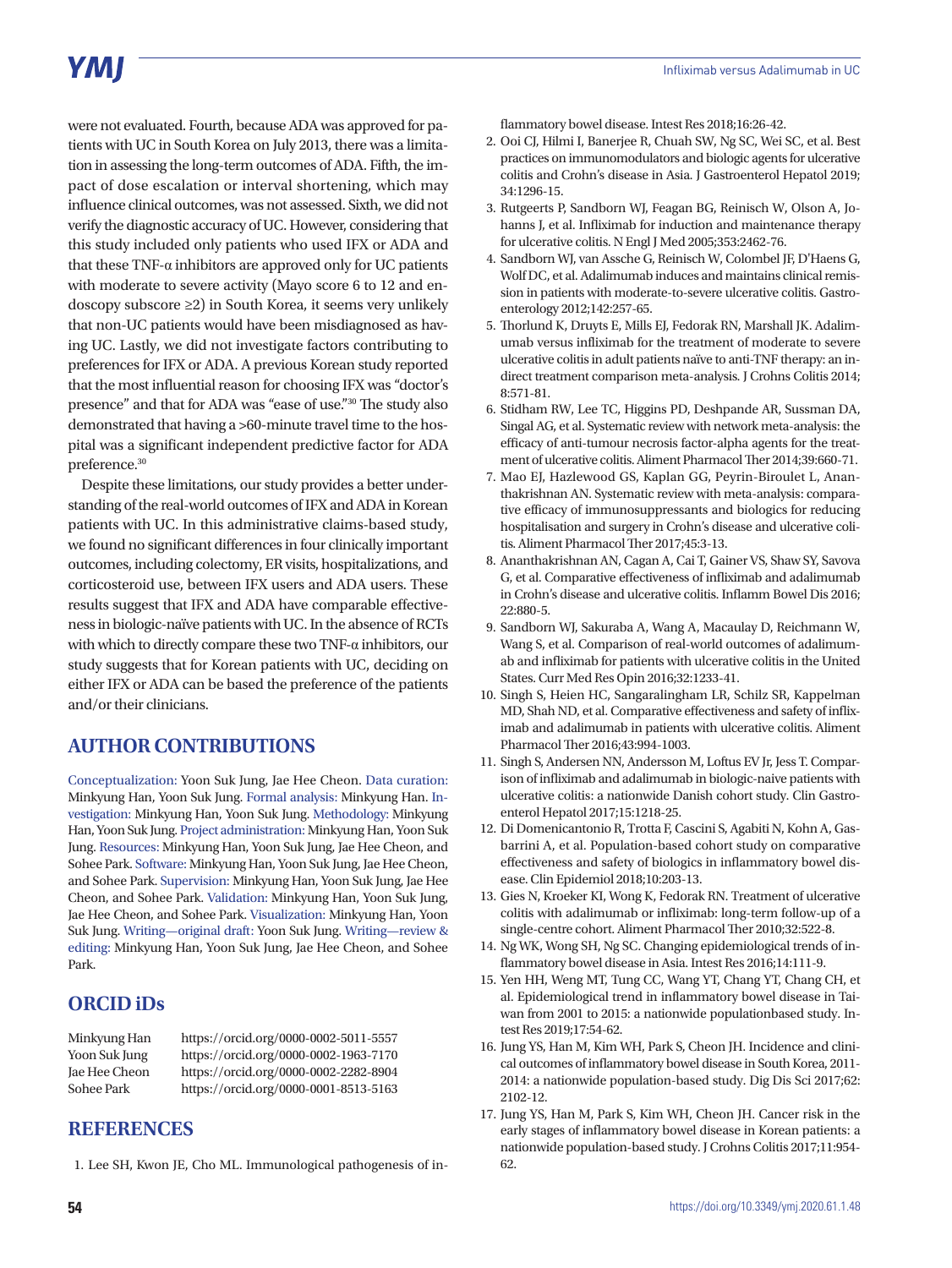# **YMI**

were not evaluated. Fourth, because ADA was approved for patients with UC in South Korea on July 2013, there was a limitation in assessing the long-term outcomes of ADA. Fifth, the impact of dose escalation or interval shortening, which may influence clinical outcomes, was not assessed. Sixth, we did not verify the diagnostic accuracy of UC. However, considering that this study included only patients who used IFX or ADA and that these TNF- $α$  inhibitors are approved only for UC patients with moderate to severe activity (Mayo score 6 to 12 and endoscopy subscore ≥2) in South Korea, it seems very unlikely that non-UC patients would have been misdiagnosed as having UC. Lastly, we did not investigate factors contributing to preferences for IFX or ADA. A previous Korean study reported that the most influential reason for choosing IFX was "doctor's presence" and that for ADA was "ease of use."30 The study also demonstrated that having a >60-minute travel time to the hospital was a significant independent predictive factor for ADA preference.30

Despite these limitations, our study provides a better understanding of the real-world outcomes of IFX and ADA in Korean patients with UC. In this administrative claims-based study, we found no significant differences in four clinically important outcomes, including colectomy, ER visits, hospitalizations, and corticosteroid use, between IFX users and ADA users. These results suggest that IFX and ADA have comparable effectiveness in biologic-naïve patients with UC. In the absence of RCTs with which to directly compare these two TNF-α inhibitors, our study suggests that for Korean patients with UC, deciding on either IFX or ADA can be based the preference of the patients and/or their clinicians.

## **AUTHOR CONTRIBUTIONS**

Conceptualization: Yoon Suk Jung, Jae Hee Cheon. Data curation: Minkyung Han, Yoon Suk Jung. Formal analysis: Minkyung Han. Investigation: Minkyung Han, Yoon Suk Jung. Methodology: Minkyung Han, Yoon Suk Jung. Project administration: Minkyung Han, Yoon Suk Jung. Resources: Minkyung Han, Yoon Suk Jung, Jae Hee Cheon, and Sohee Park. Software: Minkyung Han, Yoon Suk Jung, Jae Hee Cheon, and Sohee Park. Supervision: Minkyung Han, Yoon Suk Jung, Jae Hee Cheon, and Sohee Park. Validation: Minkyung Han, Yoon Suk Jung, Jae Hee Cheon, and Sohee Park. Visualization: Minkyung Han, Yoon Suk Jung. Writing—original draft: Yoon Suk Jung. Writing—review & editing: Minkyung Han, Yoon Suk Jung, Jae Hee Cheon, and Sohee Park.

# **ORCID iDs**

| Minkyung Han  | https://orcid.org/0000-0002-5011-5557 |
|---------------|---------------------------------------|
| Yoon Suk Jung | https://orcid.org/0000-0002-1963-7170 |
| Jae Hee Cheon | https://orcid.org/0000-0002-2282-8904 |
| Sohee Park    | https://orcid.org/0000-0001-8513-5163 |

## **REFERENCES**

1. Lee SH, Kwon JE, Cho ML. Immunological pathogenesis of in-

flammatory bowel disease. Intest Res 2018;16:26-42.

- 2. Ooi CJ, Hilmi I, Banerjee R, Chuah SW, Ng SC, Wei SC, et al. Best practices on immunomodulators and biologic agents for ulcerative colitis and Crohn's disease in Asia. J Gastroenterol Hepatol 2019; 34:1296-15.
- 3. Rutgeerts P, Sandborn WJ, Feagan BG, Reinisch W, Olson A, Johanns J, et al. Infliximab for induction and maintenance therapy for ulcerative colitis. N Engl J Med 2005;353:2462-76.
- 4. Sandborn WJ, van Assche G, Reinisch W, Colombel JF, D'Haens G, Wolf DC, et al. Adalimumab induces and maintains clinical remission in patients with moderate-to-severe ulcerative colitis. Gastroenterology 2012;142:257-65.
- 5. Thorlund K, Druyts E, Mills EJ, Fedorak RN, Marshall JK. Adalimumab versus infliximab for the treatment of moderate to severe ulcerative colitis in adult patients naïve to anti-TNF therapy: an indirect treatment comparison meta-analysis. J Crohns Colitis 2014; 8:571-81.
- 6. Stidham RW, Lee TC, Higgins PD, Deshpande AR, Sussman DA, Singal AG, et al. Systematic review with network meta-analysis: the efficacy of anti-tumour necrosis factor-alpha agents for the treatment of ulcerative colitis. Aliment Pharmacol Ther 2014;39:660-71.
- 7. Mao EJ, Hazlewood GS, Kaplan GG, Peyrin-Biroulet L, Ananthakrishnan AN. Systematic review with meta-analysis: comparative efficacy of immunosuppressants and biologics for reducing hospitalisation and surgery in Crohn's disease and ulcerative colitis. Aliment Pharmacol Ther 2017;45:3-13.
- 8. Ananthakrishnan AN, Cagan A, Cai T, Gainer VS, Shaw SY, Savova G, et al. Comparative effectiveness of infliximab and adalimumab in Crohn's disease and ulcerative colitis. Inflamm Bowel Dis 2016; 22:880-5.
- 9. Sandborn WJ, Sakuraba A, Wang A, Macaulay D, Reichmann W, Wang S, et al. Comparison of real-world outcomes of adalimumab and infliximab for patients with ulcerative colitis in the United States. Curr Med Res Opin 2016;32:1233-41.
- 10. Singh S, Heien HC, Sangaralingham LR, Schilz SR, Kappelman MD, Shah ND, et al. Comparative effectiveness and safety of infliximab and adalimumab in patients with ulcerative colitis. Aliment Pharmacol Ther 2016;43:994-1003.
- 11. Singh S, Andersen NN, Andersson M, Loftus EV Jr, Jess T. Comparison of infliximab and adalimumab in biologic-naive patients with ulcerative colitis: a nationwide Danish cohort study. Clin Gastroenterol Hepatol 2017;15:1218-25.
- 12. Di Domenicantonio R, Trotta F, Cascini S, Agabiti N, Kohn A, Gasbarrini A, et al. Population-based cohort study on comparative effectiveness and safety of biologics in inflammatory bowel disease. Clin Epidemiol 2018;10:203-13.
- 13. Gies N, Kroeker KI, Wong K, Fedorak RN. Treatment of ulcerative colitis with adalimumab or infliximab: long-term follow-up of a single-centre cohort. Aliment Pharmacol Ther 2010;32:522-8.
- 14. Ng WK, Wong SH, Ng SC. Changing epidemiological trends of inflammatory bowel disease in Asia. Intest Res 2016;14:111-9.
- 15. Yen HH, Weng MT, Tung CC, Wang YT, Chang YT, Chang CH, et al. Epidemiological trend in inflammatory bowel disease in Taiwan from 2001 to 2015: a nationwide populationbased study. Intest Res 2019;17:54-62.
- 16. Jung YS, Han M, Kim WH, Park S, Cheon JH. Incidence and clinical outcomes of inflammatory bowel disease in South Korea, 2011- 2014: a nationwide population-based study. Dig Dis Sci 2017;62: 2102-12.
- 17. Jung YS, Han M, Park S, Kim WH, Cheon JH. Cancer risk in the early stages of inflammatory bowel disease in Korean patients: a nationwide population-based study. J Crohns Colitis 2017;11:954- 62.